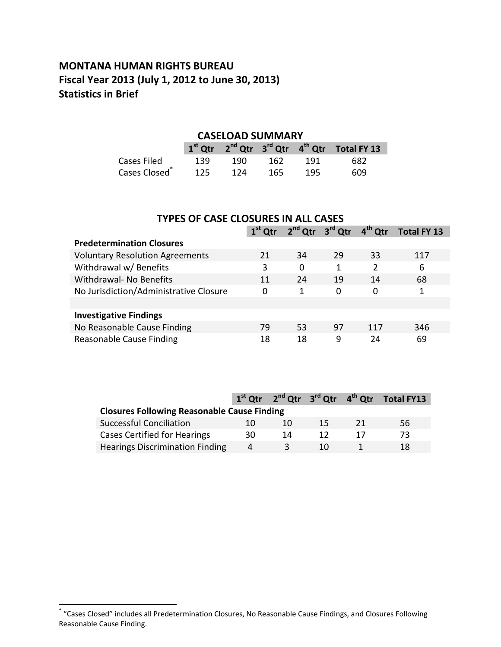# **MONTANA HUMAN RIGHTS BUREAU Fiscal Year 2013 (July 1, 2012 to June 30, 2013) Statistics in Brief**

## **CASELOAD SUMMARY**

|                           |     |     |     |     | $1st$ Qtr $2nd$ Qtr $3rd$ Qtr $4th$ Qtr Total FY 13 |
|---------------------------|-----|-----|-----|-----|-----------------------------------------------------|
| Cases Filed               | 139 | 190 | 162 | 191 | 682                                                 |
| Cases Closed <sup>®</sup> | 125 | 124 | 165 | 195 | 609                                                 |

| <b>TYPES OF CASE CLOSURES IN ALL CASES</b> |                                                                                         |          |    |     |     |  |  |  |  |
|--------------------------------------------|-----------------------------------------------------------------------------------------|----------|----|-----|-----|--|--|--|--|
|                                            | 2 <sup>nd</sup> Qtr 3 <sup>rd</sup> Qtr<br>$4th$ Qtr<br>$1st$ Qtr<br><b>Total FY 13</b> |          |    |     |     |  |  |  |  |
| <b>Predetermination Closures</b>           |                                                                                         |          |    |     |     |  |  |  |  |
| <b>Voluntary Resolution Agreements</b>     | 21                                                                                      | 34       | 29 | 33  | 117 |  |  |  |  |
| Withdrawal w/ Benefits                     | 3                                                                                       | $\Omega$ | 1  | 2   | 6   |  |  |  |  |
| Withdrawal- No Benefits                    | 11                                                                                      | 24       | 19 | 14  | 68  |  |  |  |  |
| No Jurisdiction/Administrative Closure     | 0                                                                                       | 1        | 0  | 0   | 1   |  |  |  |  |
|                                            |                                                                                         |          |    |     |     |  |  |  |  |
| <b>Investigative Findings</b>              |                                                                                         |          |    |     |     |  |  |  |  |
| No Reasonable Cause Finding                | 79                                                                                      | 53       | 97 | 117 | 346 |  |  |  |  |
| Reasonable Cause Finding                   | 18                                                                                      | 18       | 9  | 24  | 69  |  |  |  |  |

|                                                    |    |    |     |     | $1st$ Qtr $2nd$ Qtr $3rd$ Qtr $4th$ Qtr Total FY13 |  |  |  |
|----------------------------------------------------|----|----|-----|-----|----------------------------------------------------|--|--|--|
| <b>Closures Following Reasonable Cause Finding</b> |    |    |     |     |                                                    |  |  |  |
| Successful Conciliation                            | 10 | 10 | 15  | -21 | 56.                                                |  |  |  |
| Cases Certified for Hearings                       | 30 | 14 | 12  |     | 73                                                 |  |  |  |
| <b>Hearings Discrimination Finding</b>             | 4  |    | 10. |     | 18                                                 |  |  |  |

 \* "Cases Closed" includes all Predetermination Closures, No Reasonable Cause Findings, and Closures Following Reasonable Cause Finding.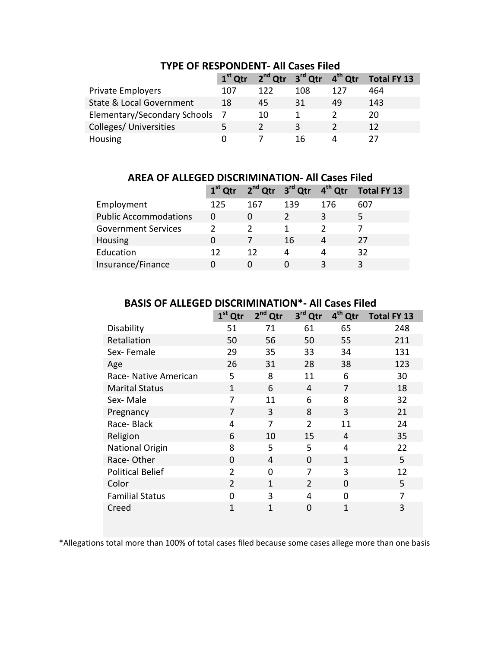|                                     | $1st$ Qtr |     | $2^{nd}$ Qtr $3^{rd}$ Qtr $4^{th}$ Qtr |     | <b>Total FY 13</b> |
|-------------------------------------|-----------|-----|----------------------------------------|-----|--------------------|
| <b>Private Employers</b>            | 107       | 122 | 108                                    | 127 | 464                |
| <b>State &amp; Local Government</b> | 18        | 45  | 31                                     | 49  | 143                |
| Elementary/Secondary Schools 7      |           | 10  |                                        |     | 20                 |
| Colleges/ Universities              | 5.        |     | ર                                      |     | 12                 |
| Housing                             |           |     | 16                                     |     |                    |

#### **TYPE OF RESPONDENT- All Cases Filed**

**AREA OF ALLEGED DISCRIMINATION- All Cases Filed**

|                              |     |     | $1st$ Qtr $2nd$ Qtr $3rd$ Qtr $4th$ Qtr |     | Total FY 13 |
|------------------------------|-----|-----|-----------------------------------------|-----|-------------|
| Employment                   | 125 | 167 | 139                                     | 176 | 607         |
| <b>Public Accommodations</b> | 0   |     |                                         | 3   |             |
| <b>Government Services</b>   |     |     |                                         |     |             |
| Housing                      | 0   |     | 16                                      | 4   | 27          |
| Education                    | 12  | 12  | 4                                       | 4   | 32          |
| Insurance/Finance            |     |     |                                         | 3   |             |

## **BASIS OF ALLEGED DISCRIMINATION\*- All Cases Filed**

|                         | $1st$ Qtr      | $2nd$ Qtr    | 3rd Qtr        | 4 <sup>th</sup> Qtr | <b>Total FY 13</b> |
|-------------------------|----------------|--------------|----------------|---------------------|--------------------|
| Disability              | 51             | 71           | 61             | 65                  | 248                |
| Retaliation             | 50             | 56           | 50             | 55                  | 211                |
| Sex-Female              | 29             | 35           | 33             | 34                  | 131                |
| Age                     | 26             | 31           | 28             | 38                  | 123                |
| Race- Native American   | 5              | 8            | 11             | 6                   | 30                 |
| <b>Marital Status</b>   | 1              | 6            | 4              | 7                   | 18                 |
| Sex-Male                | 7              | 11           | 6              | 8                   | 32                 |
| Pregnancy               | 7              | 3            | 8              | 3                   | 21                 |
| Race-Black              | 4              | 7            | $\overline{2}$ | 11                  | 24                 |
| Religion                | 6              | 10           | 15             | 4                   | 35                 |
| <b>National Origin</b>  | 8              | 5            | 5              | $\overline{4}$      | 22                 |
| Race-Other              | $\Omega$       | 4            | 0              | 1                   | 5                  |
| <b>Political Belief</b> | $\overline{2}$ | $\Omega$     | 7              | 3                   | 12                 |
| Color                   | $\overline{2}$ | $\mathbf{1}$ | $\overline{2}$ | $\overline{0}$      | 5                  |
| <b>Familial Status</b>  | 0              | 3            | 4              | $\Omega$            | 7                  |
| Creed                   | $\mathbf{1}$   | 1            | 0              | 1                   | 3                  |

\*Allegations total more than 100% of total cases filed because some cases allege more than one basis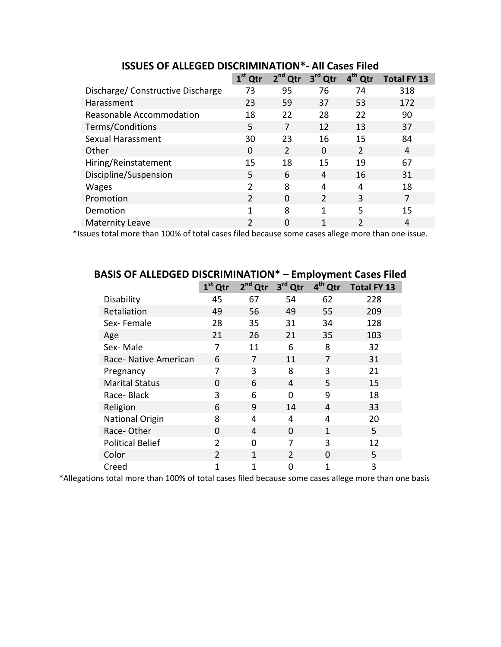|                                   | $1st$ Qtr      | $2nd$ Qtr     | 3 <sup>rd</sup><br>Qtr | 4 <sup>th</sup> Qtr | <b>Total FY 13</b> |  |
|-----------------------------------|----------------|---------------|------------------------|---------------------|--------------------|--|
| Discharge/ Constructive Discharge | 73             | 95            | 76                     | 74                  | 318                |  |
| Harassment                        | 23             | 59            | 37                     | 53                  | 172                |  |
| Reasonable Accommodation          | 18             | 22            | 28                     | 22                  | 90                 |  |
| Terms/Conditions                  | 5              | 7             | 12                     | 13                  | 37                 |  |
| Sexual Harassment                 | 30             | 23            | 16                     | 15                  | 84                 |  |
| Other                             | $\Omega$       | $\mathcal{P}$ | $\Omega$               | $\mathcal{P}$       | 4                  |  |
| Hiring/Reinstatement              | 15             | 18            | 15                     | 19                  | 67                 |  |
| Discipline/Suspension             | 5              | 6             | 4                      | 16                  | 31                 |  |
| <b>Wages</b>                      | $\mathcal{P}$  | 8             | 4                      | 4                   | 18                 |  |
| Promotion                         | 2              | $\Omega$      | $\mathcal{P}$          | 3                   |                    |  |
| Demotion                          | 1              | 8             | 1                      | 5                   | 15                 |  |
| <b>Maternity Leave</b>            | $\mathfrak{p}$ | $\Omega$      | 1                      |                     | 4                  |  |

**ISSUES OF ALLEGED DISCRIMINATION\*- All Cases Filed**

\*Issues total more than 100% of total cases filed because some cases allege more than one issue.

| BASIS OF ALLEDGED DISCRIIVIINATION<br>Employment Cases Filed |                |                     |                |                     |                    |  |  |  |
|--------------------------------------------------------------|----------------|---------------------|----------------|---------------------|--------------------|--|--|--|
|                                                              | $1st$ Qtr      | 2 <sup>nd</sup> Qtr | 3rd Qtr        | 4 <sup>th</sup> Qtr | <b>Total FY 13</b> |  |  |  |
| Disability                                                   | 45             | 67                  | 54             | 62                  | 228                |  |  |  |
| Retaliation                                                  | 49             | 56                  | 49             | 55                  | 209                |  |  |  |
| Sex-Female                                                   | 28             | 35                  | 31             | 34                  | 128                |  |  |  |
| Age                                                          | 21             | 26                  | 21             | 35                  | 103                |  |  |  |
| Sex-Male                                                     | 7              | 11                  | 6              | 8                   | 32                 |  |  |  |
| Race- Native American                                        | 6              | 7                   | 11             | 7                   | 31                 |  |  |  |
| Pregnancy                                                    | 7              | 3                   | 8              | 3                   | 21                 |  |  |  |
| <b>Marital Status</b>                                        | 0              | 6                   | 4              | 5                   | 15                 |  |  |  |
| Race-Black                                                   | 3              | 6                   | 0              | 9                   | 18                 |  |  |  |
| Religion                                                     | 6              | 9                   | 14             | 4                   | 33                 |  |  |  |
| <b>National Origin</b>                                       | 8              | 4                   | 4              | 4                   | 20                 |  |  |  |
| Race-Other                                                   | $\Omega$       | 4                   | $\Omega$       | 1                   | 5                  |  |  |  |
| <b>Political Belief</b>                                      | $\overline{2}$ | 0                   | 7              | 3                   | 12                 |  |  |  |
| Color                                                        | $\overline{2}$ | $\mathbf{1}$        | $\overline{2}$ | $\Omega$            | 5                  |  |  |  |
| Creed                                                        | 1              | $\mathbf{1}$        | 0              | 1                   | 3                  |  |  |  |

# **BASIS OF ALLEDGED DISCRIMINATION\* – Employment Cases Filed**

\*Allegations total more than 100% of total cases filed because some cases allege more than one basis